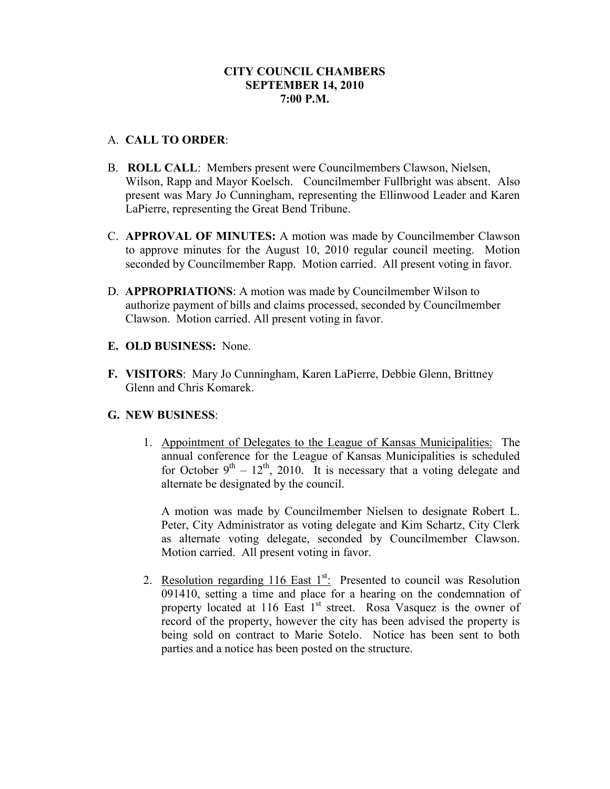## A. **CALL TO ORDER**:

- B. **ROLL CALL**: Members present were Councilmembers Clawson, Nielsen, Wilson, Rapp and Mayor Koelsch. Councilmember Fullbright was absent. Also present was Mary Jo Cunningham, representing the Ellinwood Leader and Karen LaPierre, representing the Great Bend Tribune.
- C. **APPROVAL OF MINUTES:** A motion was made by Councilmember Clawson to approve minutes for the August 10, 2010 regular council meeting. Motion seconded by Councilmember Rapp. Motion carried. All present voting in favor.
- D. **APPROPRIATIONS**: A motion was made by Councilmember Wilson to authorize payment of bills and claims processed, seconded by Councilmember Clawson. Motion carried. All present voting in favor.
- **E. OLD BUSINESS:** None.
- **F. VISITORS**: Mary Jo Cunningham, Karen LaPierre, Debbie Glenn, Brittney Glenn and Chris Komarek.

# **G. NEW BUSINESS**:

1. Appointment of Delegates to the League of Kansas Municipalities: The annual conference for the League of Kansas Municipalities is scheduled for October  $9^{th} - 12^{th}$ , 2010. It is necessary that a voting delegate and alternate be designated by the council.

A motion was made by Councilmember Nielsen to designate Robert L. Peter, City Administrator as voting delegate and Kim Schartz, City Clerk as alternate voting delegate, seconded by Councilmember Clawson. Motion carried. All present voting in favor.

2. Resolution regarding  $116$  East  $1^{st}$ . Presented to council was Resolution 091410, setting a time and place for a hearing on the condemnation of property located at 116 East  $1<sup>st</sup>$  street. Rosa Vasquez is the owner of record of the property, however the city has been advised the property is being sold on contract to Marie Sotelo. Notice has been sent to both parties and a notice has been posted on the structure.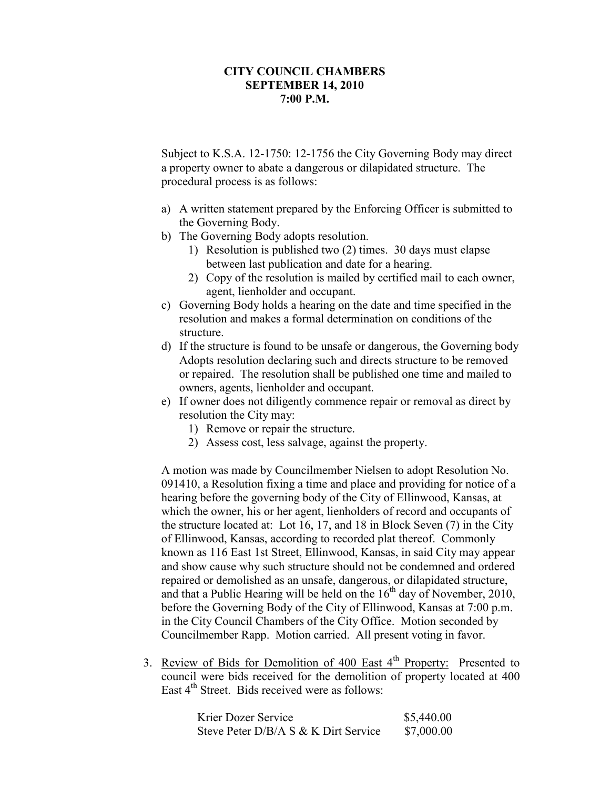Subject to K.S.A. 12-1750: 12-1756 the City Governing Body may direct a property owner to abate a dangerous or dilapidated structure. The procedural process is as follows:

- a) A written statement prepared by the Enforcing Officer is submitted to the Governing Body.
- b) The Governing Body adopts resolution.
	- 1) Resolution is published two (2) times. 30 days must elapse between last publication and date for a hearing.
	- 2) Copy of the resolution is mailed by certified mail to each owner, agent, lienholder and occupant.
- c) Governing Body holds a hearing on the date and time specified in the resolution and makes a formal determination on conditions of the structure.
- d) If the structure is found to be unsafe or dangerous, the Governing body Adopts resolution declaring such and directs structure to be removed or repaired. The resolution shall be published one time and mailed to owners, agents, lienholder and occupant.
- e) If owner does not diligently commence repair or removal as direct by resolution the City may:
	- 1) Remove or repair the structure.
	- 2) Assess cost, less salvage, against the property.

A motion was made by Councilmember Nielsen to adopt Resolution No. 091410, a Resolution fixing a time and place and providing for notice of a hearing before the governing body of the City of Ellinwood, Kansas, at which the owner, his or her agent, lienholders of record and occupants of the structure located at: Lot 16, 17, and 18 in Block Seven (7) in the City of Ellinwood, Kansas, according to recorded plat thereof. Commonly known as 116 East 1st Street, Ellinwood, Kansas, in said City may appear and show cause why such structure should not be condemned and ordered repaired or demolished as an unsafe, dangerous, or dilapidated structure, and that a Public Hearing will be held on the  $16<sup>th</sup>$  day of November, 2010, before the Governing Body of the City of Ellinwood, Kansas at 7:00 p.m. in the City Council Chambers of the City Office. Motion seconded by Councilmember Rapp. Motion carried. All present voting in favor.

3. Review of Bids for Demolition of 400 East  $4<sup>th</sup>$  Property: Presented to council were bids received for the demolition of property located at 400 East 4<sup>th</sup> Street. Bids received were as follows:

| Krier Dozer Service                  | \$5,440.00 |
|--------------------------------------|------------|
| Steve Peter D/B/A S & K Dirt Service | \$7,000.00 |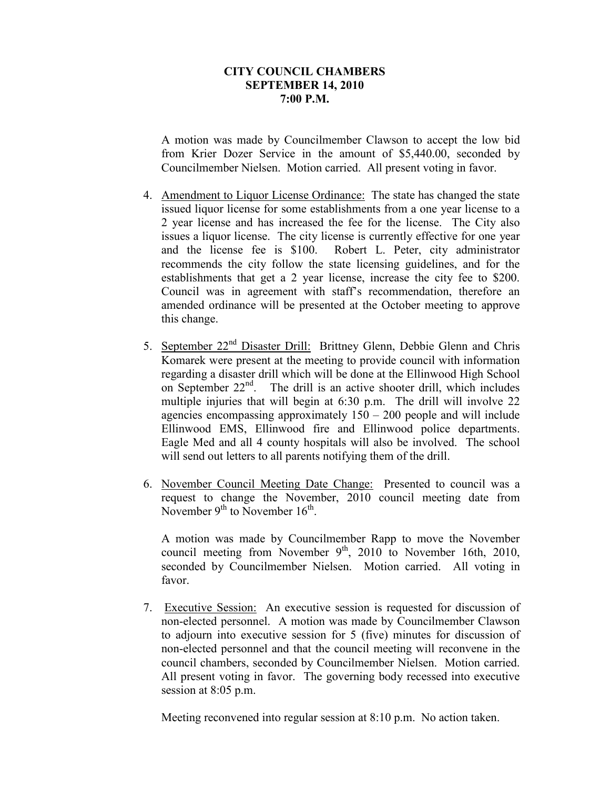A motion was made by Councilmember Clawson to accept the low bid from Krier Dozer Service in the amount of \$5,440.00, seconded by Councilmember Nielsen. Motion carried. All present voting in favor.

- 4. Amendment to Liquor License Ordinance: The state has changed the state issued liquor license for some establishments from a one year license to a 2 year license and has increased the fee for the license. The City also issues a liquor license. The city license is currently effective for one year and the license fee is \$100. Robert L. Peter, city administrator recommends the city follow the state licensing guidelines, and for the establishments that get a 2 year license, increase the city fee to \$200. Council was in agreement with staff's recommendation, therefore an amended ordinance will be presented at the October meeting to approve this change.
- 5. September 22<sup>nd</sup> Disaster Drill: Brittney Glenn, Debbie Glenn and Chris Komarek were present at the meeting to provide council with information regarding a disaster drill which will be done at the Ellinwood High School on September  $22<sup>nd</sup>$ . The drill is an active shooter drill, which includes multiple injuries that will begin at 6:30 p.m. The drill will involve 22 agencies encompassing approximately  $150 - 200$  people and will include Ellinwood EMS, Ellinwood fire and Ellinwood police departments. Eagle Med and all 4 county hospitals will also be involved. The school will send out letters to all parents notifying them of the drill.
- 6. November Council Meeting Date Change: Presented to council was a request to change the November, 2010 council meeting date from November  $9<sup>th</sup>$  to November  $16<sup>th</sup>$ .

A motion was made by Councilmember Rapp to move the November council meeting from November  $9<sup>th</sup>$ , 2010 to November 16th, 2010, seconded by Councilmember Nielsen. Motion carried. All voting in favor.

7. Executive Session: An executive session is requested for discussion of non-elected personnel. A motion was made by Councilmember Clawson to adjourn into executive session for 5 (five) minutes for discussion of non-elected personnel and that the council meeting will reconvene in the council chambers, seconded by Councilmember Nielsen. Motion carried. All present voting in favor. The governing body recessed into executive session at 8:05 p.m.

Meeting reconvened into regular session at 8:10 p.m. No action taken.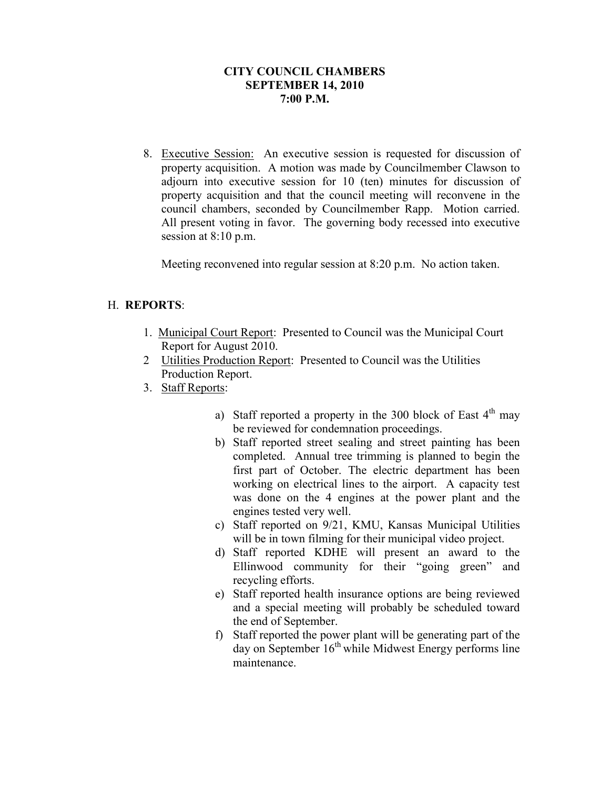8. Executive Session: An executive session is requested for discussion of property acquisition. A motion was made by Councilmember Clawson to adjourn into executive session for 10 (ten) minutes for discussion of property acquisition and that the council meeting will reconvene in the council chambers, seconded by Councilmember Rapp. Motion carried. All present voting in favor. The governing body recessed into executive session at 8:10 p.m.

Meeting reconvened into regular session at 8:20 p.m. No action taken.

## H. **REPORTS**:

- 1. Municipal Court Report: Presented to Council was the Municipal Court Report for August 2010.
- 2 Utilities Production Report: Presented to Council was the Utilities Production Report.
- 3. Staff Reports:
	- a) Staff reported a property in the 300 block of East  $4<sup>th</sup>$  may be reviewed for condemnation proceedings.
	- b) Staff reported street sealing and street painting has been completed. Annual tree trimming is planned to begin the first part of October. The electric department has been working on electrical lines to the airport. A capacity test was done on the 4 engines at the power plant and the engines tested very well.
	- c) Staff reported on 9/21, KMU, Kansas Municipal Utilities will be in town filming for their municipal video project.
	- d) Staff reported KDHE will present an award to the Ellinwood community for their "going green" and recycling efforts.
	- e) Staff reported health insurance options are being reviewed and a special meeting will probably be scheduled toward the end of September.
	- f) Staff reported the power plant will be generating part of the  $day$  on September  $16<sup>th</sup>$  while Midwest Energy performs line maintenance.